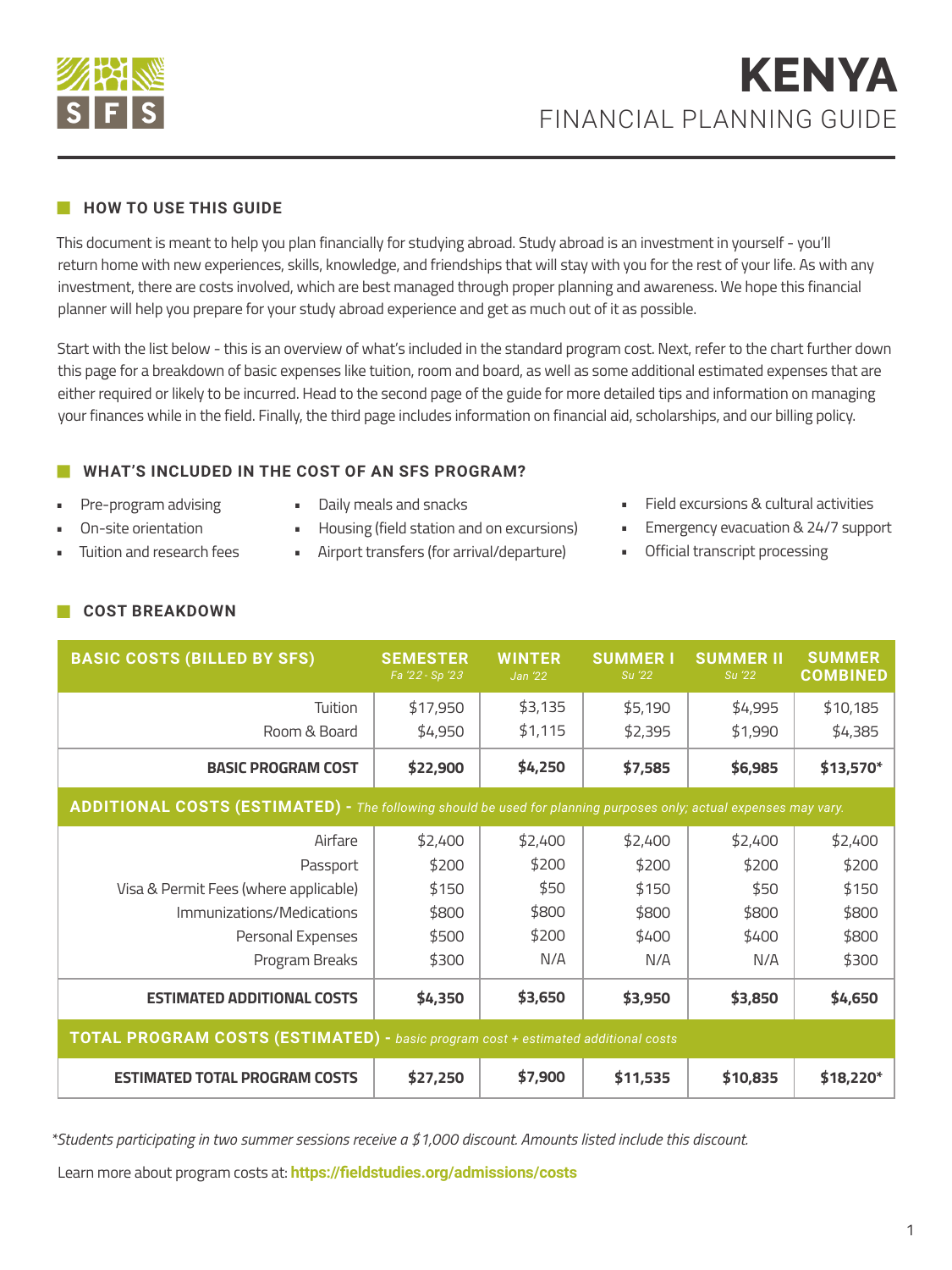

### **HOW TO USE THIS GUIDE**

This document is meant to help you plan financially for studying abroad. Study abroad is an investment in yourself - you'll return home with new experiences, skills, knowledge, and friendships that will stay with you for the rest of your life. As with any investment, there are costs involved, which are best managed through proper planning and awareness. We hope this financial planner will help you prepare for your study abroad experience and get as much out of it as possible.

Start with the list below - this is an overview of what's included in the standard program cost. Next, refer to the chart further down this page for a breakdown of basic expenses like tuition, room and board, as well as some additional estimated expenses that are either required or likely to be incurred. Head to the second page of the guide for more detailed tips and information on managing your finances while in the field. Finally, the third page includes information on financial aid, scholarships, and our billing policy.

## **WHAT'S INCLUDED IN THE COST OF AN SFS PROGRAM?**

- Pre-program advising • On-site orientation
- Daily meals and snacks
- Housing (field station and on excursions)
- Airport transfers (for arrival/departure)
- Field excursions & cultural activities
- Emergency evacuation & 24/7 support
- Official transcript processing

**COST BREAKDOWN**

• Tuition and research fees

| <b>BASIC COSTS (BILLED BY SFS)</b>                                                                                | <b>SEMESTER</b><br>Fa '22 - Sp '23 | <b>WINTER</b><br>Jan '22 | <b>SUMMER I</b><br>Su '22 | <b>SUMMER II</b><br>Su '22 | <b>SUMMER</b><br><b>COMBINED</b> |  |
|-------------------------------------------------------------------------------------------------------------------|------------------------------------|--------------------------|---------------------------|----------------------------|----------------------------------|--|
| Tuition                                                                                                           | \$17,950                           | \$3,135                  | \$5,190                   | \$4,995                    | \$10,185                         |  |
| Room & Board                                                                                                      | \$4,950                            | \$1,115                  | \$2,395                   | \$1,990                    | \$4,385                          |  |
| <b>BASIC PROGRAM COST</b>                                                                                         | \$22,900                           | \$4,250                  | \$7,585                   | \$6,985                    | $$13,570*$                       |  |
| ADDITIONAL COSTS (ESTIMATED) - The following should be used for planning purposes only; actual expenses may vary. |                                    |                          |                           |                            |                                  |  |
| Airfare                                                                                                           | \$2,400                            | \$2,400                  | \$2,400                   | \$2,400                    | \$2,400                          |  |
| Passport                                                                                                          | \$200                              | \$200                    | \$200                     | \$200                      | \$200                            |  |
| Visa & Permit Fees (where applicable)                                                                             | \$150                              | \$50                     | \$150                     | \$50                       | \$150                            |  |
| Immunizations/Medications                                                                                         | \$800                              | \$800                    | \$800                     | \$800                      | \$800                            |  |
| Personal Expenses                                                                                                 | \$500                              | \$200                    | \$400                     | \$400                      | \$800                            |  |
| Program Breaks                                                                                                    | \$300                              | N/A                      | N/A                       | N/A                        | \$300                            |  |
| <b>ESTIMATED ADDITIONAL COSTS</b>                                                                                 | \$4,350                            | \$3,650                  | \$3,950                   | \$3,850                    | \$4,650                          |  |
| <b>TOTAL PROGRAM COSTS (ESTIMATED)</b> - basic program cost + estimated additional costs                          |                                    |                          |                           |                            |                                  |  |
| <b>ESTIMATED TOTAL PROGRAM COSTS</b>                                                                              | \$27,250                           | \$7,900                  | \$11,535                  | \$10,835                   | $$18,220*$                       |  |

*\*Students participating in two summer sessions receive a \$1,000 discount. Amounts listed include this discount.*

Learn more about program costs at: **https://fieldstudies.org/admissions/costs**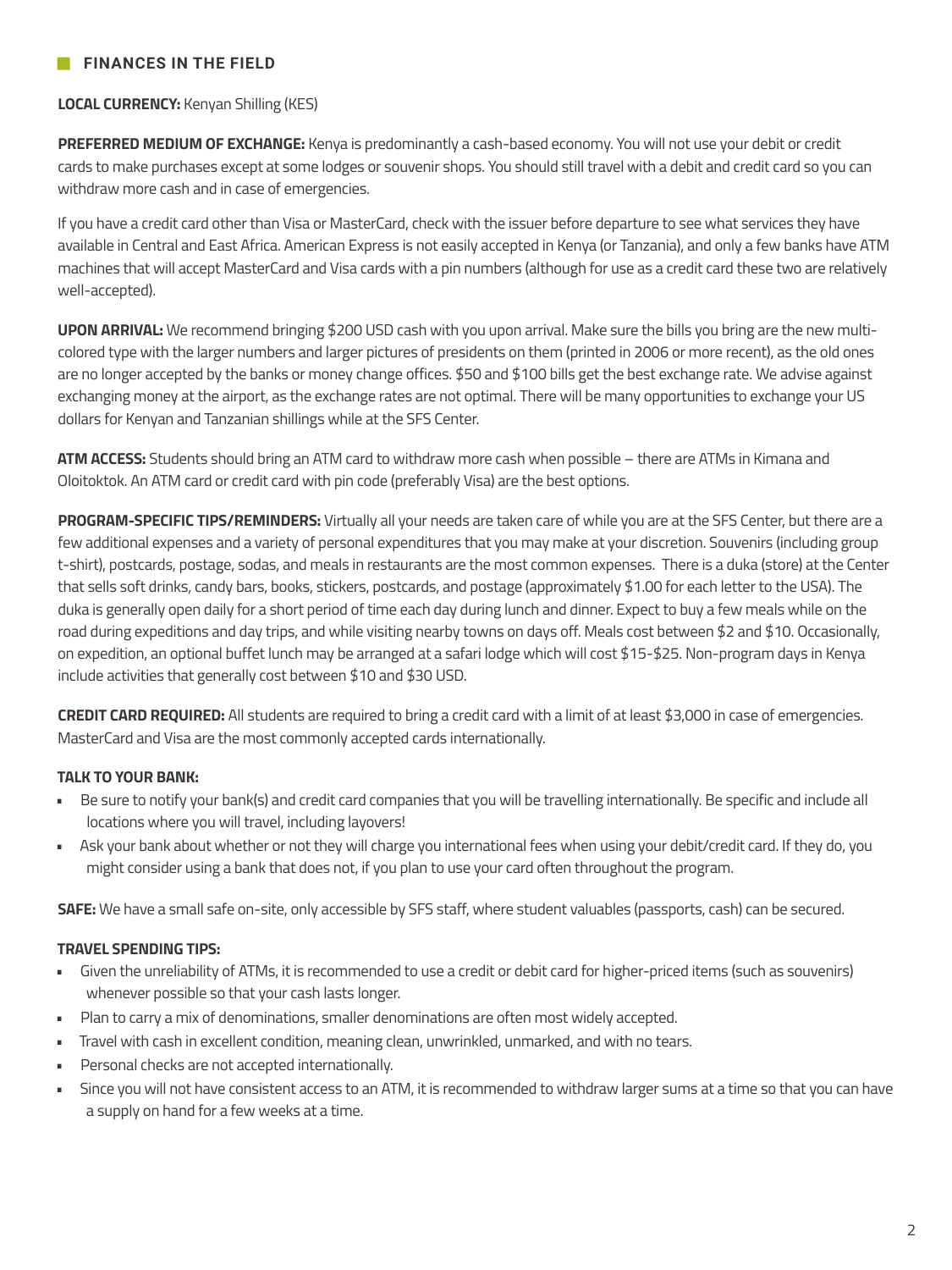## **FINANCES IN THE FIELD**

#### **LOCAL CURRENCY:** Kenyan Shilling (KES)

**PREFERRED MEDIUM OF EXCHANGE:** Kenya is predominantly a cash-based economy. You will not use your debit or credit cards to make purchases except at some lodges or souvenir shops. You should still travel with a debit and credit card so you can withdraw more cash and in case of emergencies.

If you have a credit card other than Visa or MasterCard, check with the issuer before departure to see what services they have available in Central and East Africa. American Express is not easily accepted in Kenya (or Tanzania), and only a few banks have ATM machines that will accept MasterCard and Visa cards with a pin numbers (although for use as a credit card these two are relatively well-accepted).

**UPON ARRIVAL:** We recommend bringing \$200 USD cash with you upon arrival. Make sure the bills you bring are the new multicolored type with the larger numbers and larger pictures of presidents on them (printed in 2006 or more recent), as the old ones are no longer accepted by the banks or money change offices. \$50 and \$100 bills get the best exchange rate. We advise against exchanging money at the airport, as the exchange rates are not optimal. There will be many opportunities to exchange your US dollars for Kenyan and Tanzanian shillings while at the SFS Center.

**ATM ACCESS:** Students should bring an ATM card to withdraw more cash when possible – there are ATMs in Kimana and Oloitoktok. An ATM card or credit card with pin code (preferably Visa) are the best options.

**PROGRAM-SPECIFIC TIPS/REMINDERS:** Virtually all your needs are taken care of while you are at the SFS Center, but there are a few additional expenses and a variety of personal expenditures that you may make at your discretion. Souvenirs (including group t-shirt), postcards, postage, sodas, and meals in restaurants are the most common expenses. There is a duka (store) at the Center that sells soft drinks, candy bars, books, stickers, postcards, and postage (approximately \$1.00 for each letter to the USA). The duka is generally open daily for a short period of time each day during lunch and dinner. Expect to buy a few meals while on the road during expeditions and day trips, and while visiting nearby towns on days off. Meals cost between \$2 and \$10. Occasionally, on expedition, an optional buffet lunch may be arranged at a safari lodge which will cost \$15-\$25. Non-program days in Kenya include activities that generally cost between \$10 and \$30 USD.

**CREDIT CARD REQUIRED:** All students are required to bring a credit card with a limit of at least \$3,000 in case of emergencies. MasterCard and Visa are the most commonly accepted cards internationally.

#### **TALK TO YOUR BANK:**

- Be sure to notify your bank(s) and credit card companies that you will be travelling internationally. Be specific and include all locations where you will travel, including layovers!
- Ask your bank about whether or not they will charge you international fees when using your debit/credit card. If they do, you might consider using a bank that does not, if you plan to use your card often throughout the program.

**SAFE:** We have a small safe on-site, only accessible by SFS staff, where student valuables (passports, cash) can be secured.

#### **TRAVEL SPENDING TIPS:**

- Given the unreliability of ATMs, it is recommended to use a credit or debit card for higher-priced items (such as souvenirs) whenever possible so that your cash lasts longer.
- Plan to carry a mix of denominations, smaller denominations are often most widely accepted.
- Travel with cash in excellent condition, meaning clean, unwrinkled, unmarked, and with no tears.
- Personal checks are not accepted internationally.
- Since you will not have consistent access to an ATM, it is recommended to withdraw larger sums at a time so that you can have a supply on hand for a few weeks at a time.